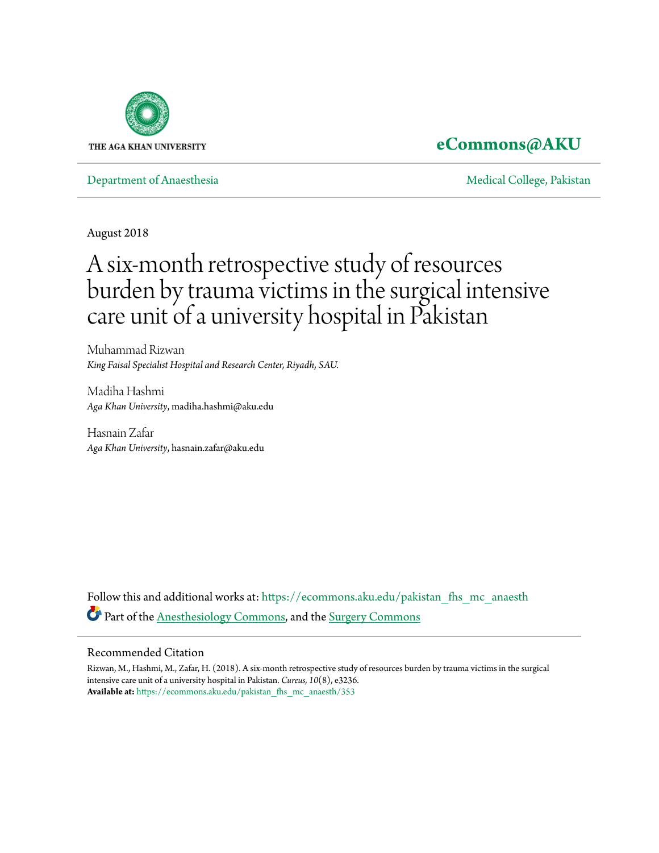

## **[eCommons@AKU](https://ecommons.aku.edu/?utm_source=ecommons.aku.edu%2Fpakistan_fhs_mc_anaesth%2F353&utm_medium=PDF&utm_campaign=PDFCoverPages)**

[Department of Anaesthesia](https://ecommons.aku.edu/pakistan_fhs_mc_anaesth?utm_source=ecommons.aku.edu%2Fpakistan_fhs_mc_anaesth%2F353&utm_medium=PDF&utm_campaign=PDFCoverPages) and a state of the College, Pakistan [Medical College, Pakistan](https://ecommons.aku.edu/pakistan_fhs_mc?utm_source=ecommons.aku.edu%2Fpakistan_fhs_mc_anaesth%2F353&utm_medium=PDF&utm_campaign=PDFCoverPages) and Medical College, Pakistan and Medical College, Pakistan and Medical College, Pakistan and Medical College, Pakistan and Medical C

August 2018

# A six-month retrospective study of resources burden by trauma victims in the surgical intensive care unit of a university hospital in Pakistan

Muhammad Rizwan *King Faisal Specialist Hospital and Research Center, Riyadh, SAU.*

Madiha Hashmi *Aga Khan University*, madiha.hashmi@aku.edu

Hasnain Zafar *Aga Khan University*, hasnain.zafar@aku.edu

Follow this and additional works at: [https://ecommons.aku.edu/pakistan\\_fhs\\_mc\\_anaesth](https://ecommons.aku.edu/pakistan_fhs_mc_anaesth?utm_source=ecommons.aku.edu%2Fpakistan_fhs_mc_anaesth%2F353&utm_medium=PDF&utm_campaign=PDFCoverPages) Part of the [Anesthesiology Commons](http://network.bepress.com/hgg/discipline/682?utm_source=ecommons.aku.edu%2Fpakistan_fhs_mc_anaesth%2F353&utm_medium=PDF&utm_campaign=PDFCoverPages), and the [Surgery Commons](http://network.bepress.com/hgg/discipline/706?utm_source=ecommons.aku.edu%2Fpakistan_fhs_mc_anaesth%2F353&utm_medium=PDF&utm_campaign=PDFCoverPages)

#### Recommended Citation

Rizwan, M., Hashmi, M., Zafar, H. (2018). A six-month retrospective study of resources burden by trauma victims in the surgical intensive care unit of a university hospital in Pakistan. *Cureus, 10*(8), e3236. **Available at:** [https://ecommons.aku.edu/pakistan\\_fhs\\_mc\\_anaesth/353](https://ecommons.aku.edu/pakistan_fhs_mc_anaesth/353)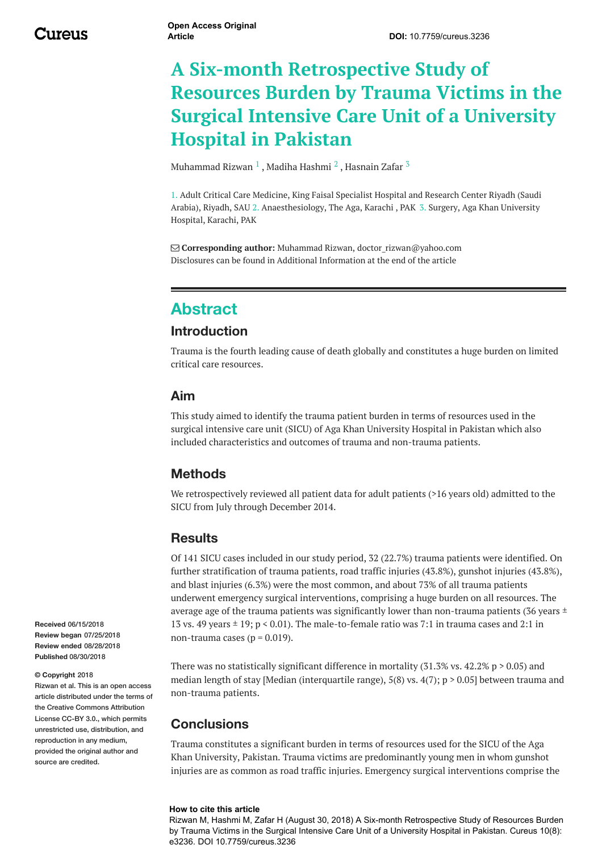<u> 1989 - Johann Stein, marwolaethau a bhann an t-Amhair an t-Amhair an t-Amhair an t-Amhair an t-Amhair an t-A</u>

# **A Six-month Retrospective Study of Resources Burden by Trauma Victims in the Surgical Intensive Care Unit of a University Hospital in Pakistan**

[Muhammad](https://www.cureus.com/users/99935-muhammad-rizwan) Rizwan  $^1$  , Madiha [Hashmi](https://www.cureus.com/users/100795-madiha-hashmi)  $^2$  , [Hasnain](https://www.cureus.com/users/99946-hasnain-zafar) Zafar  $^3$ 

1. Adult Critical Care Medicine, King Faisal Specialist Hospital and Research Center Riyadh (Saudi Arabia), Riyadh, SAU 2. Anaesthesiology, The Aga, Karachi , PAK 3. Surgery, Aga Khan University Hospital, Karachi, PAK

 **Corresponding author:** Muhammad Rizwan, doctor\_rizwan@yahoo.com Disclosures can be found in Additional Information at the end of the article

## **Abstract**

#### **Introduction**

Trauma is the fourth leading cause of death globally and constitutes a huge burden on limited critical care resources.

#### **Aim**

This study aimed to identify the trauma patient burden in terms of resources used in the surgical intensive care unit (SICU) of Aga Khan University Hospital in Pakistan which also included characteristics and outcomes of trauma and non-trauma patients.

#### **Methods**

We retrospectively reviewed all patient data for adult patients (>16 years old) admitted to the SICU from July through December 2014.

#### **Results**

Of 141 SICU cases included in our study period, 32 (22.7%) trauma patients were identified. On further stratification of trauma patients, road traffic injuries (43.8%), gunshot injuries (43.8%), and blast injuries (6.3%) were the most common, and about 73% of all trauma patients underwent emergency surgical interventions, comprising a huge burden on all resources. The average age of the trauma patients was significantly lower than non-trauma patients (36 years  $\pm$ 13 vs. 49 years  $\pm$  19; p < 0.01). The male-to-female ratio was 7:1 in trauma cases and 2:1 in non-trauma cases ( $p = 0.019$ ).

There was no statistically significant difference in mortality (31.3% vs.  $42.2\%$  p  $> 0.05$ ) and median length of stay [Median (interquartile range),  $5(8)$  vs.  $4(7)$ ; p > 0.05] between trauma and non-trauma patients.

#### **Conclusions**

Trauma constitutes a significant burden in terms of resources used for the SICU of the Aga Khan University, Pakistan. Trauma victims are predominantly young men in whom gunshot injuries are as common as road traffic injuries. Emergency surgical interventions comprise the

#### **How to cite this article**

Rizwan M, Hashmi M, Zafar H (August 30, 2018) A Six-month Retrospective Study of Resources Burden by Trauma Victims in the Surgical Intensive Care Unit of a University Hospital in Pakistan. Cureus 10(8): e3236. DOI 10.7759/cureus.3236

**Received** 06/15/2018 **Review began** 07/25/2018 **Review ended** 08/28/2018 **Published** 08/30/2018

#### **© Copyright** 2018

Rizwan et al. This is an open access article distributed under the terms of the Creative Commons Attribution License CC-BY 3.0., which permits unrestricted use, distribution, and reproduction in any medium, provided the original author and source are credited.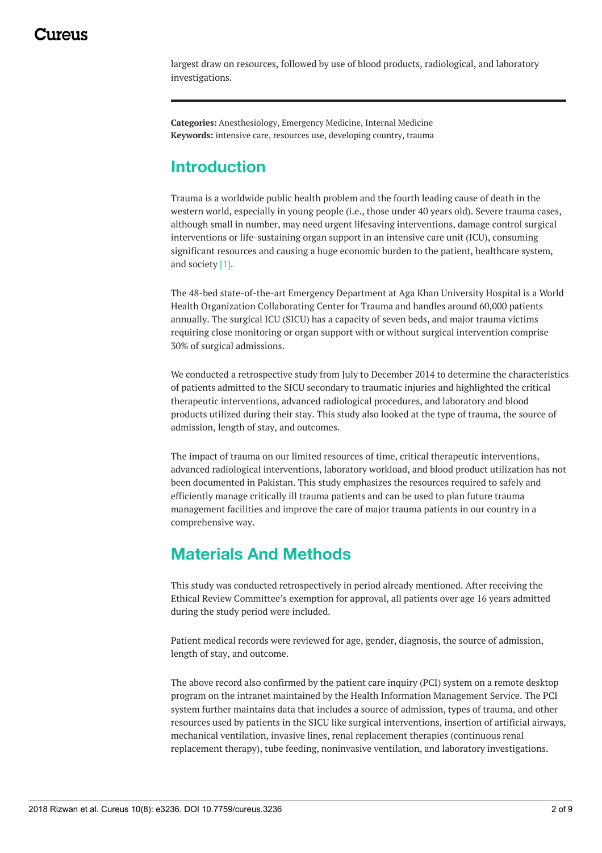largest draw on resources, followed by use of blood products, radiological, and laboratory investigations.

**Categories:** Anesthesiology, Emergency Medicine, Internal Medicine **Keywords:** intensive care, resources use, developing country, trauma

## **Introduction**

Trauma is a worldwide public health problem and the fourth leading cause of death in the western world, especially in young people (i.e., those under 40 years old). Severe trauma cases, although small in number, may need urgent lifesaving interventions, damage control surgical interventions or life-sustaining organ support in an intensive care unit (ICU), consuming significant resources and causing a huge economic burden to the patient, healthcare system, and society [1].

<span id="page-2-0"></span>The 48-bed state-of-the-art Emergency Department at Aga Khan University Hospital is a World Health Organization Collaborating Center for Trauma and handles around 60,000 patients annually. The surgical ICU (SICU) has a capacity of seven beds, and major trauma victims requiring close monitoring or organ support with or without surgical intervention comprise 30% of surgical admissions.

We conducted a retrospective study from July to December 2014 to determine the characteristics of patients admitted to the SICU secondary to traumatic injuries and highlighted the critical therapeutic interventions, advanced radiological procedures, and laboratory and blood products utilized during their stay. This study also looked at the type of trauma, the source of admission, length of stay, and outcomes.

The impact of trauma on our limited resources of time, critical therapeutic interventions, advanced radiological interventions, laboratory workload, and blood product utilization has not been documented in Pakistan. This study emphasizes the resources required to safely and efficiently manage critically ill trauma patients and can be used to plan future trauma management facilities and improve the care of major trauma patients in our country in a comprehensive way.

## **Materials And Methods**

This study was conducted retrospectively in period already mentioned. After receiving the Ethical Review Committee's exemption for approval, all patients over age 16 years admitted during the study period were included.

Patient medical records were reviewed for age, gender, diagnosis, the source of admission, length of stay, and outcome.

The above record also confirmed by the patient care inquiry (PCI) system on a remote desktop program on the intranet maintained by the Health Information Management Service. The PCI system further maintains data that includes a source of admission, types of trauma, and other resources used by patients in the SICU like surgical interventions, insertion of artificial airways, mechanical ventilation, invasive lines, renal replacement therapies (continuous renal replacement therapy), tube feeding, noninvasive ventilation, and laboratory investigations.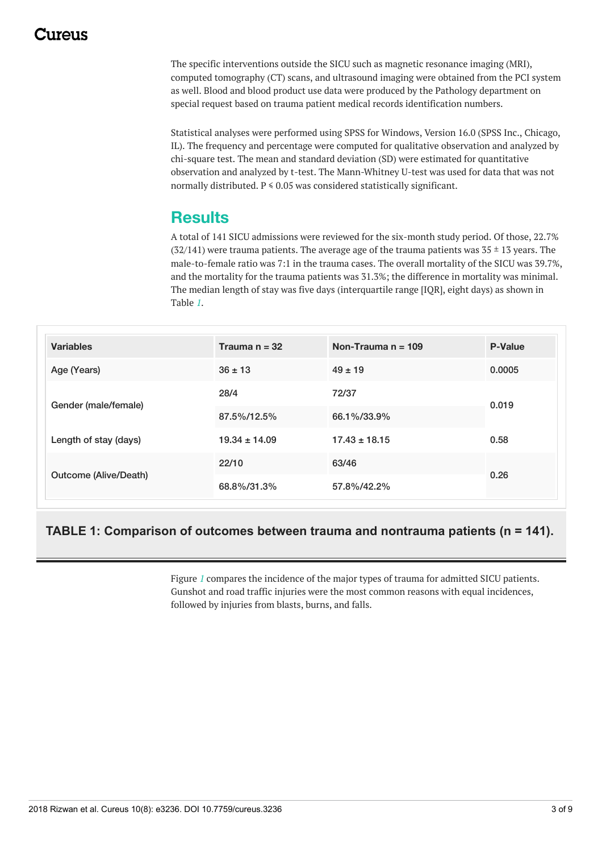## 117A119

<span id="page-3-0"></span>The specific interventions outside the SICU such as magnetic resonance imaging (MRI), computed tomography (CT) scans, and ultrasound imaging were obtained from the PCI system as well. Blood and blood product use data were produced by the Pathology department on special request based on trauma patient medical records identification numbers.

Statistical analyses were performed using SPSS for Windows, Version 16.0 (SPSS Inc., Chicago, IL). The frequency and percentage were computed for qualitative observation and analyzed by chi-square test. The mean and standard deviation (SD) were estimated for quantitative observation and analyzed by t-test. The Mann-Whitney U-test was used for data that was not normally distributed.  $P \le 0.05$  was considered statistically significant.

## **Results**

A total of 141 SICU admissions were reviewed for the six-month study period. Of those, 22.7%  $(32/141)$  were trauma patients. The average age of the trauma patients was  $35 \pm 13$  years. The male-to-female ratio was 7:1 in the trauma cases. The overall mortality of the SICU was 39.7%, and the mortality for the trauma patients was 31.3%; the difference in mortality was minimal. The median length of stay was five days (interquartile range [IQR], eight days) as shown in Table *[1](#page-2-0)*.

| <b>Variables</b>      | Trauma $n = 32$   | Non-Trauma $n = 109$ | <b>P-Value</b> |  |
|-----------------------|-------------------|----------------------|----------------|--|
| Age (Years)           | $36 \pm 13$       | $49 \pm 19$          | 0.0005         |  |
| Gender (male/female)  | 28/4              | 72/37                | 0.019          |  |
|                       | 87.5%/12.5%       | 66.1%/33.9%          |                |  |
| Length of stay (days) | $19.34 \pm 14.09$ | $17.43 \pm 18.15$    | 0.58           |  |
| Outcome (Alive/Death) | 22/10             | 63/46                | 0.26           |  |
|                       | 68.8%/31.3%       | 57.8%/42.2%          |                |  |

#### **TABLE 1: Comparison of outcomes between trauma and nontrauma patients (n = 141).**

<span id="page-3-1"></span>Figure *[1](#page-3-0)* compares the incidence of the major types of trauma for admitted SICU patients. Gunshot and road traffic injuries were the most common reasons with equal incidences, followed by injuries from blasts, burns, and falls.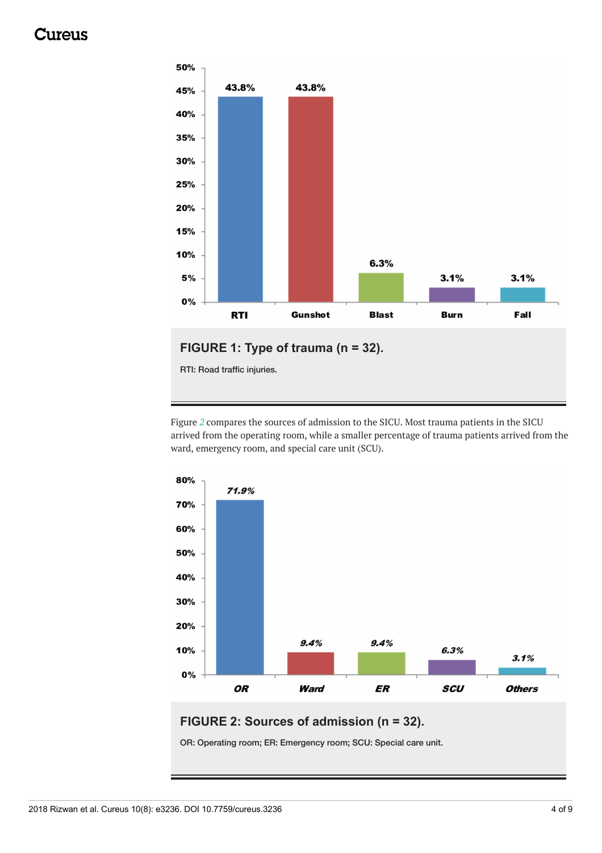## Jureus

<span id="page-4-0"></span>

Figure *[2](#page-3-1)* compares the sources of admission to the SICU. Most trauma patients in the SICU arrived from the operating room, while a smaller percentage of trauma patients arrived from the ward, emergency room, and special care unit (SCU).



### **FIGURE 2: Sources of admission (n = 32).**

OR: Operating room; ER: Emergency room; SCU: Special care unit.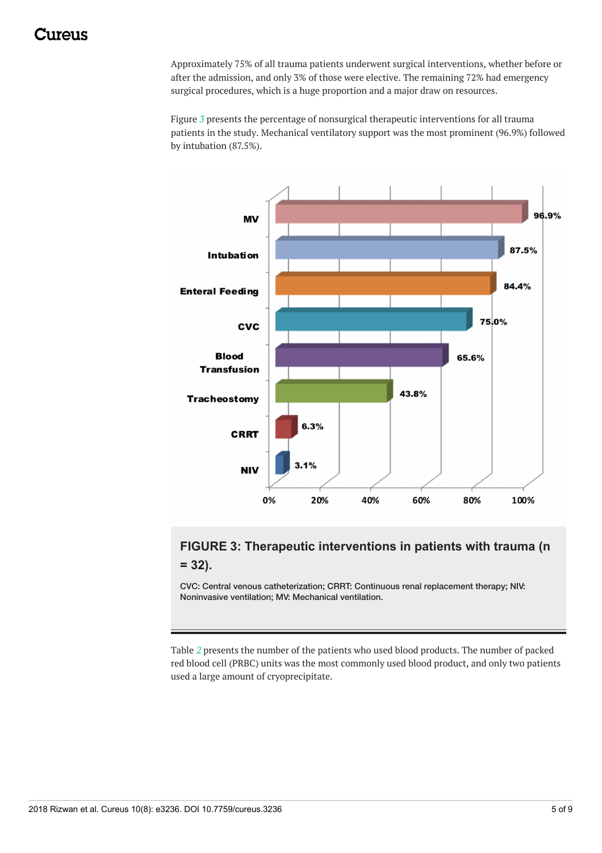<span id="page-5-0"></span>Approximately 75% of all trauma patients underwent surgical interventions, whether before or after the admission, and only 3% of those were elective. The remaining 72% had emergency surgical procedures, which is a huge proportion and a major draw on resources.

Figure *[3](#page-4-0)* presents the percentage of nonsurgical therapeutic interventions for all trauma patients in the study. Mechanical ventilatory support was the most prominent (96.9%) followed by intubation (87.5%).

<span id="page-5-1"></span>

## **FIGURE 3: Therapeutic interventions in patients with trauma (n = 32).**

CVC: Central venous catheterization; CRRT: Continuous renal replacement therapy; NIV: Noninvasive ventilation; MV: Mechanical ventilation.

Table *[2](#page-5-0)* presents the number of the patients who used blood products. The number of packed red blood cell (PRBC) units was the most commonly used blood product, and only two patients used a large amount of cryoprecipitate.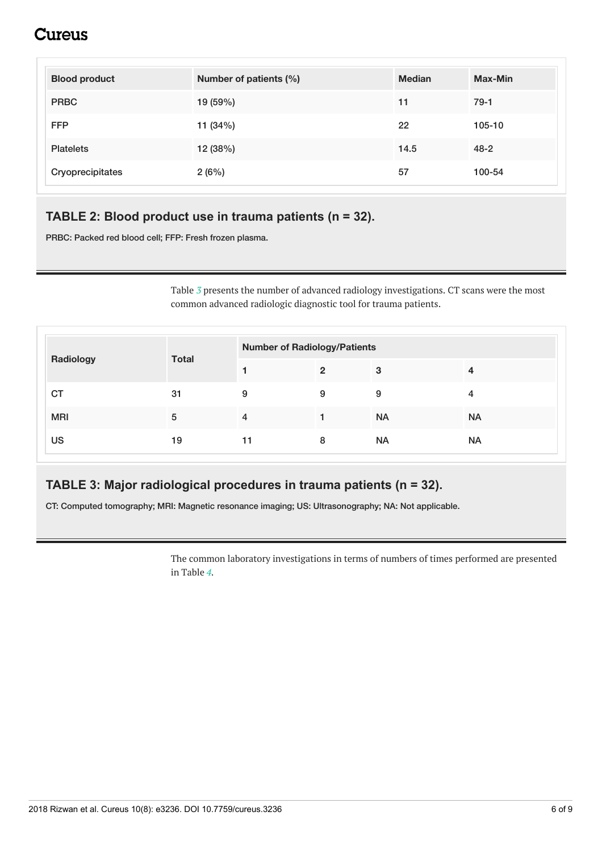## Cureus

<span id="page-6-0"></span>

| <b>Blood product</b> | Number of patients (%) | <b>Median</b> | Max-Min  |
|----------------------|------------------------|---------------|----------|
| <b>PRBC</b>          | 19 (59%)               | 11            | $79-1$   |
| <b>FFP</b>           | 11 $(34%)$             | 22            | 105-10   |
| <b>Platelets</b>     | 12 (38%)               | 14.5          | $48 - 2$ |
| Cryoprecipitates     | 2(6%)                  | 57            | 100-54   |

### **TABLE 2: Blood product use in trauma patients (n = 32).**

PRBC: Packed red blood cell; FFP: Fresh frozen plasma.

Table *[3](#page-5-1)* presents the number of advanced radiology investigations. CT scans were the most common advanced radiologic diagnostic tool for trauma patients.

| Radiology  | <b>Total</b> | <b>Number of Radiology/Patients</b> |                |           |           |
|------------|--------------|-------------------------------------|----------------|-----------|-----------|
|            |              |                                     | $\overline{2}$ | 3         | 4         |
| <b>CT</b>  | 31           | 9                                   | 9              | 9         | 4         |
| <b>MRI</b> | 5            | 4                                   |                | <b>NA</b> | <b>NA</b> |
| US         | 19           | 11                                  | 8              | <b>NA</b> | <b>NA</b> |

## **TABLE 3: Major radiological procedures in trauma patients (n = 32).**

CT: Computed tomography; MRI: Magnetic resonance imaging; US: Ultrasonography; NA: Not applicable.

The common laboratory investigations in terms of numbers of times performed are presented in Table *[4](#page-6-0)*.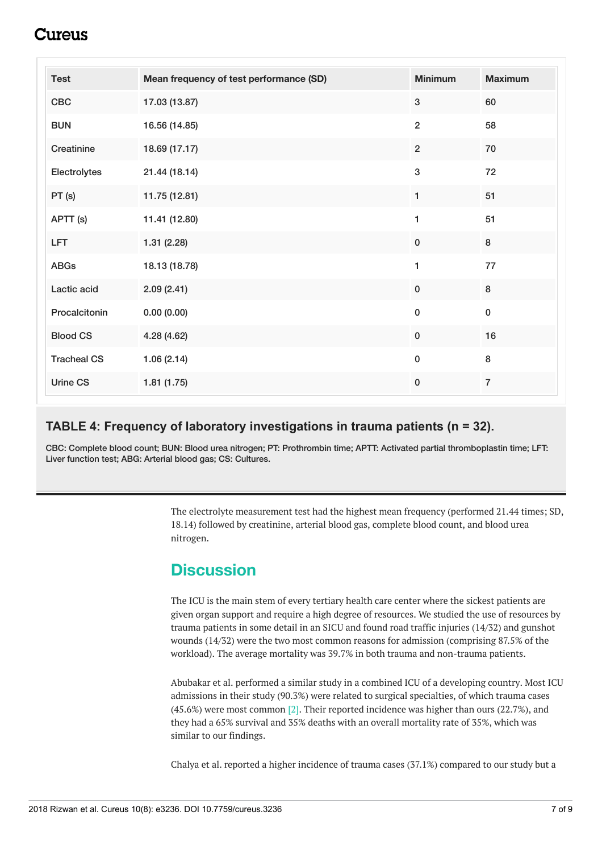## :117e11S

| <b>Test</b>        | Mean frequency of test performance (SD) | <b>Minimum</b> | <b>Maximum</b> |
|--------------------|-----------------------------------------|----------------|----------------|
| CBC                | 17.03 (13.87)                           | $\sqrt{3}$     | 60             |
| <b>BUN</b>         | 16.56 (14.85)                           | $\overline{2}$ | 58             |
| Creatinine         | 18.69 (17.17)                           | $\overline{2}$ | ${\bf 70}$     |
| Electrolytes       | 21.44 (18.14)                           | $\mathbf 3$    | 72             |
| PT(s)              | 11.75 (12.81)                           | 1              | 51             |
| APTT (s)           | 11.41 (12.80)                           | 1              | 51             |
| <b>LFT</b>         | 1.31(2.28)                              | $\pmb{0}$      | $\bf 8$        |
| <b>ABGs</b>        | 18.13 (18.78)                           | 1              | $77\,$         |
| Lactic acid        | 2.09(2.41)                              | $\pmb{0}$      | 8              |
| Procalcitonin      | 0.00(0.00)                              | $\pmb{0}$      | $\pmb{0}$      |
| <b>Blood CS</b>    | 4.28 (4.62)                             | $\pmb{0}$      | 16             |
| <b>Tracheal CS</b> | 1.06(2.14)                              | $\pmb{0}$      | 8              |
| Urine CS           | 1.81(1.75)                              | $\pmb{0}$      | $\overline{7}$ |

#### **TABLE 4: Frequency of laboratory investigations in trauma patients (n = 32).**

CBC: Complete blood count; BUN: Blood urea nitrogen; PT: Prothrombin time; APTT: Activated partial thromboplastin time; LFT: Liver function test; ABG: Arterial blood gas; CS: Cultures.

> The electrolyte measurement test had the highest mean frequency (performed 21.44 times; SD, 18.14) followed by creatinine, arterial blood gas, complete blood count, and blood urea nitrogen.

## **Discussion**

The ICU is the main stem of every tertiary health care center where the sickest patients are given organ support and require a high degree of resources. We studied the use of resources by trauma patients in some detail in an SICU and found road traffic injuries (14/32) and gunshot wounds (14/32) were the two most common reasons for admission (comprising 87.5% of the workload). The average mortality was 39.7% in both trauma and non-trauma patients.

Abubakar et al. performed a similar study in a combined ICU of a developing country. Most ICU admissions in their study (90.3%) were related to surgical specialties, of which trauma cases (45.6%) were most common [2]. Their reported incidence was higher than ours (22.7%), and they had a 65% survival and 35% deaths with an overall mortality rate of 35%, which was similar to our findings.

Chalya et al. reported a higher incidence of trauma cases (37.1%) compared to our study but a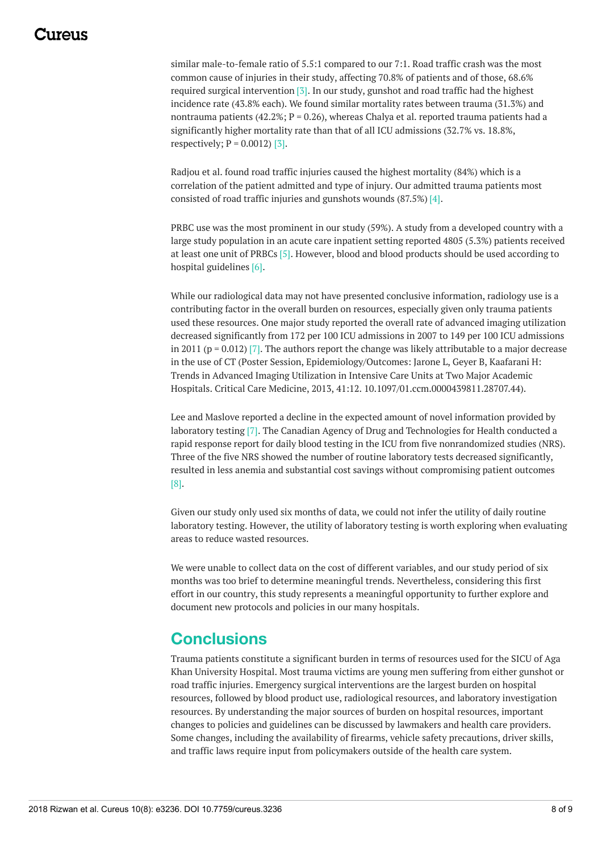similar male-to-female ratio of 5.5:1 compared to our 7:1. Road traffic crash was the most common cause of injuries in their study, affecting 70.8% of patients and of those, 68.6% required surgical intervention [3]. In our study, gunshot and road traffic had the highest incidence rate (43.8% each). We found similar mortality rates between trauma (31.3%) and nontrauma patients (42.2%;  $P = 0.26$ ), whereas Chalya et al. reported trauma patients had a significantly higher mortality rate than that of all ICU admissions (32.7% vs. 18.8%, respectively;  $P = 0.0012$  [3].

Radjou et al. found road traffic injuries caused the highest mortality (84%) which is a correlation of the patient admitted and type of injury. Our admitted trauma patients most consisted of road traffic injuries and gunshots wounds (87.5%) [4].

PRBC use was the most prominent in our study (59%). A study from a developed country with a large study population in an acute care inpatient setting reported 4805 (5.3%) patients received at least one unit of PRBCs [5]. However, blood and blood products should be used according to hospital guidelines [6].

While our radiological data may not have presented conclusive information, radiology use is a contributing factor in the overall burden on resources, especially given only trauma patients used these resources. One major study reported the overall rate of advanced imaging utilization decreased significantly from 172 per 100 ICU admissions in 2007 to 149 per 100 ICU admissions in 2011 ( $p = 0.012$ ) [7]. The authors report the change was likely attributable to a major decrease in the use of CT (Poster Session, Epidemiology/Outcomes: Jarone L, Geyer B, Kaafarani H: Trends in Advanced Imaging Utilization in Intensive Care Units at Two Major Academic Hospitals. Critical Care Medicine, 2013, 41:12. 10.1097/01.ccm.0000439811.28707.44).

Lee and Maslove reported a decline in the expected amount of novel information provided by laboratory testing [7]. The Canadian Agency of Drug and Technologies for Health conducted a rapid response report for daily blood testing in the ICU from five nonrandomized studies (NRS). Three of the five NRS showed the number of routine laboratory tests decreased significantly, resulted in less anemia and substantial cost savings without compromising patient outcomes [8].

Given our study only used six months of data, we could not infer the utility of daily routine laboratory testing. However, the utility of laboratory testing is worth exploring when evaluating areas to reduce wasted resources.

We were unable to collect data on the cost of different variables, and our study period of six months was too brief to determine meaningful trends. Nevertheless, considering this first effort in our country, this study represents a meaningful opportunity to further explore and document new protocols and policies in our many hospitals.

## **Conclusions**

Trauma patients constitute a significant burden in terms of resources used for the SICU of Aga Khan University Hospital. Most trauma victims are young men suffering from either gunshot or road traffic injuries. Emergency surgical interventions are the largest burden on hospital resources, followed by blood product use, radiological resources, and laboratory investigation resources. By understanding the major sources of burden on hospital resources, important changes to policies and guidelines can be discussed by lawmakers and health care providers. Some changes, including the availability of firearms, vehicle safety precautions, driver skills, and traffic laws require input from policymakers outside of the health care system.